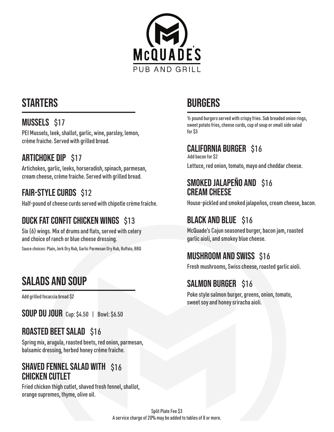

# STARTERS BURGERS

#### MUSSELS \$17

PEI Mussels, leek, shallot, garlic, wine, parsley, lemon, crème fraiche. Served with grilled bread.

#### ARTICHOKE DIP \$17

Artichokes, garlic, leeks, horseradish, spinach, parmesan, cream cheese, crème fraiche. Served with grilled bread.

### FAIR-STYLE CURDS \$12

Half-pound of cheese curds served with chipotle crème fraiche. House-pickled and smoked jalapeños, cream cheese, bacon.

## **DUCK FAT CONFIT CHICKEN WINGS \$13**

Six (6) wings. Mix of drums and flats, served with celery and choice of ranch or blue cheese dressing.

Sauce choices: Plain, Jerk Dry Rub, Garlic Parmesan Dry Rub, Buffalo, BBQ

# salads and soup

Add grilled focaccia bread \$2

SOUP DU JOUR Cup: \$4.50 | Bowl: \$6.50

#### ROASTED BEET SALAD \$16

Spring mix, arugula, roasted beets, red onion, parmesan, balsamic dressing, herbed honey crème fraiche.

#### chicken cutlet SHAVED FENNEL SALAD WITH \$16

Fried chicken thigh cutlet, shaved fresh fennel, shallot, orange supremes, thyme, olive oil.

 $1/2$  pound burgers served with crispy fries. Sub breaded onion rings, sweet potato fries, cheese curds, cup of soup or small side salad for \$3

#### California Burger \$16

Lettuce, red onion, tomato, mayo and cheddar cheese. Add bacon for \$2

#### smoked Jalapeño and \$16 cream cheese

## **BLACK AND BLUE** \$16

McQuade's Cajun seasoned burger, bacon jam, roasted garlic aioli, and smokey blue cheese.

## Mushroom and Swiss \$16

Fresh mushrooms, Swiss cheese, roasted garlic aioli.

## SALMON BURGER \$16

Poke style salmon burger, greens, onion, tomato, sweet soy and honey sriracha aioli.

Split Plate Fee \$3 A service charge of 20% may be added to tables of 8 or more.